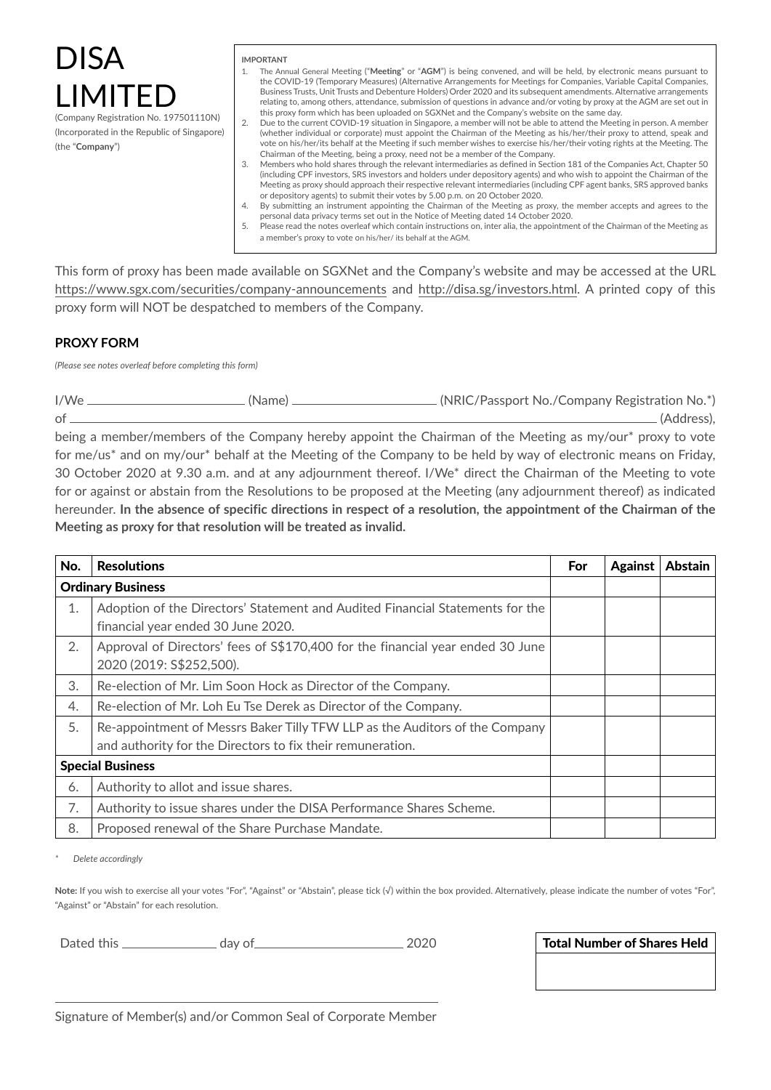# DISA LIMIT

(Company Registration No. 197501110N) (Incorporated in the Republic of Singapore) (the "**Company**")

### **IMPORTANT**

- 1. The Annual General Meeting ("**Meeting**" or "**AGM**") is being convened, and will be held, by electronic means pursuant to the COVID-19 (Temporary Measures) (Alternative Arrangements for Meetings for Companies, Variable Capital Companies, Business Trusts, Unit Trusts and Debenture Holders) Order 2020 and its subsequent amendments. Alternative arrangements relating to, among others, attendance, submission of questions in advance and/or voting by proxy at the AGM are set out in this proxy form which has been uploaded on SGXNet and the Company's website on the same day.
- 2. Due to the current COVID-19 situation in Singapore, a member will not be able to attend the Meeting in person. A member (whether individual or corporate) must appoint the Chairman of the Meeting as his/her/their proxy to attend, speak and vote on his/her/its behalf at the Meeting if such member wishes to exercise his/her/their voting rights at the Meeting. The Chairman of the Meeting, being a proxy, need not be a member of the Company.
- 3. Members who hold shares through the relevant intermediaries as defined in Section 181 of the Companies Act, Chapter 50 (including CPF investors, SRS investors and holders under depository agents) and who wish to appoint the Chairman of the Meeting as proxy should approach their respective relevant intermediaries (including CPF agent banks, SRS approved banks or depository agents) to submit their votes by 5.00 p.m. on 20 October 2020.
- 4. By submitting an instrument appointing the Chairman of the Meeting as proxy, the member accepts and agrees to the personal data privacy terms set out in the Notice of Meeting dated 14 October 2020.
- 5. Please read the notes overleaf which contain instructions on, inter alia, the appointment of the Chairman of the Meeting as a member's proxy to vote on his/her/ its behalf at the AGM.

This form of proxy has been made available on SGXNet and the Company's website and may be accessed at the URL https://www.sgx.com/securities/company-announcements and http://disa.sg/investors.html. A printed copy of this proxy form will NOT be despatched to members of the Company.

# **PROXY FORM**

*(Please see notes overleaf before completing this form)* 

I/We (Name) (NRIC/Passport No./Company Registration No.\*) of (Address),

being a member/members of the Company hereby appoint the Chairman of the Meeting as my/our\* proxy to vote for me/us\* and on my/our\* behalf at the Meeting of the Company to be held by way of electronic means on Friday, 30 October 2020 at 9.30 a.m. and at any adjournment thereof. I/We\* direct the Chairman of the Meeting to vote for or against or abstain from the Resolutions to be proposed at the Meeting (any adjournment thereof) as indicated hereunder. **In the absence of specific directions in respect of a resolution, the appointment of the Chairman of the Meeting as proxy for that resolution will be treated as invalid.**

| No.                      | <b>Resolutions</b>                                                                                                                        | <b>For</b> | <b>Against</b> | <b>Abstain</b> |
|--------------------------|-------------------------------------------------------------------------------------------------------------------------------------------|------------|----------------|----------------|
| <b>Ordinary Business</b> |                                                                                                                                           |            |                |                |
| 1.                       | Adoption of the Directors' Statement and Audited Financial Statements for the<br>financial year ended 30 June 2020.                       |            |                |                |
| 2.                       | Approval of Directors' fees of \$\$170,400 for the financial year ended 30 June<br>2020 (2019: S\$252,500).                               |            |                |                |
| 3.                       | Re-election of Mr. Lim Soon Hock as Director of the Company.                                                                              |            |                |                |
| 4.                       | Re-election of Mr. Loh Eu Tse Derek as Director of the Company.                                                                           |            |                |                |
| 5.                       | Re-appointment of Messrs Baker Tilly TFW LLP as the Auditors of the Company<br>and authority for the Directors to fix their remuneration. |            |                |                |
| <b>Special Business</b>  |                                                                                                                                           |            |                |                |
| 6.                       | Authority to allot and issue shares.                                                                                                      |            |                |                |
| 7.                       | Authority to issue shares under the DISA Performance Shares Scheme.                                                                       |            |                |                |
| 8.                       | Proposed renewal of the Share Purchase Mandate.                                                                                           |            |                |                |

*\* Delete accordingly* 

Note: If you wish to exercise all your votes "For", "Against" or "Abstain", please tick (√) within the box provided. Alternatively, please indicate the number of votes "For", "Against" or "Abstain" for each resolution.

Dated this day of 2020 Total Number of Shares Held

Signature of Member(s) and/or Common Seal of Corporate Member